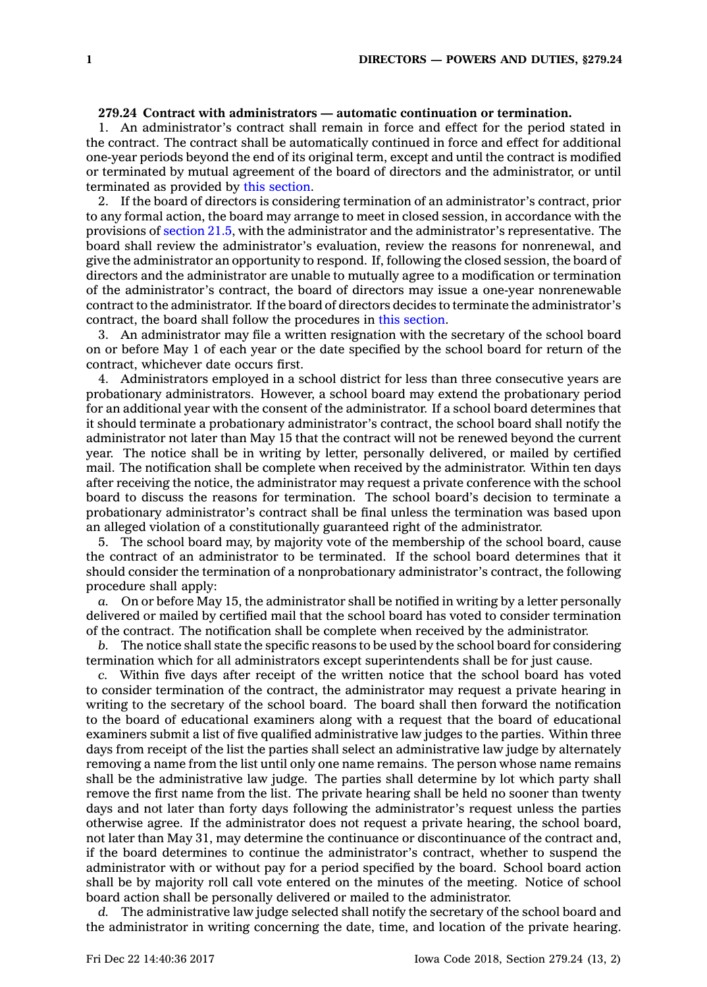## **279.24 Contract with administrators — automatic continuation or termination.**

1. An administrator's contract shall remain in force and effect for the period stated in the contract. The contract shall be automatically continued in force and effect for additional one-year periods beyond the end of its original term, except and until the contract is modified or terminated by mutual agreement of the board of directors and the administrator, or until terminated as provided by this [section](https://www.legis.iowa.gov/docs/code/279.24.pdf).

2. If the board of directors is considering termination of an administrator's contract, prior to any formal action, the board may arrange to meet in closed session, in accordance with the provisions of [section](https://www.legis.iowa.gov/docs/code/21.5.pdf) 21.5, with the administrator and the administrator's representative. The board shall review the administrator's evaluation, review the reasons for nonrenewal, and give the administrator an opportunity to respond. If, following the closed session, the board of directors and the administrator are unable to mutually agree to <sup>a</sup> modification or termination of the administrator's contract, the board of directors may issue <sup>a</sup> one-year nonrenewable contract to the administrator. If the board of directors decides to terminate the administrator's contract, the board shall follow the procedures in this [section](https://www.legis.iowa.gov/docs/code/279.24.pdf).

3. An administrator may file <sup>a</sup> written resignation with the secretary of the school board on or before May 1 of each year or the date specified by the school board for return of the contract, whichever date occurs first.

4. Administrators employed in <sup>a</sup> school district for less than three consecutive years are probationary administrators. However, <sup>a</sup> school board may extend the probationary period for an additional year with the consent of the administrator. If <sup>a</sup> school board determines that it should terminate <sup>a</sup> probationary administrator's contract, the school board shall notify the administrator not later than May 15 that the contract will not be renewed beyond the current year. The notice shall be in writing by letter, personally delivered, or mailed by certified mail. The notification shall be complete when received by the administrator. Within ten days after receiving the notice, the administrator may request <sup>a</sup> private conference with the school board to discuss the reasons for termination. The school board's decision to terminate <sup>a</sup> probationary administrator's contract shall be final unless the termination was based upon an alleged violation of <sup>a</sup> constitutionally guaranteed right of the administrator.

5. The school board may, by majority vote of the membership of the school board, cause the contract of an administrator to be terminated. If the school board determines that it should consider the termination of <sup>a</sup> nonprobationary administrator's contract, the following procedure shall apply:

*a.* On or before May 15, the administrator shall be notified in writing by <sup>a</sup> letter personally delivered or mailed by certified mail that the school board has voted to consider termination of the contract. The notification shall be complete when received by the administrator.

*b.* The notice shall state the specific reasons to be used by the school board for considering termination which for all administrators except superintendents shall be for just cause.

*c.* Within five days after receipt of the written notice that the school board has voted to consider termination of the contract, the administrator may request <sup>a</sup> private hearing in writing to the secretary of the school board. The board shall then forward the notification to the board of educational examiners along with <sup>a</sup> request that the board of educational examiners submit <sup>a</sup> list of five qualified administrative law judges to the parties. Within three days from receipt of the list the parties shall select an administrative law judge by alternately removing <sup>a</sup> name from the list until only one name remains. The person whose name remains shall be the administrative law judge. The parties shall determine by lot which party shall remove the first name from the list. The private hearing shall be held no sooner than twenty days and not later than forty days following the administrator's request unless the parties otherwise agree. If the administrator does not request <sup>a</sup> private hearing, the school board, not later than May 31, may determine the continuance or discontinuance of the contract and, if the board determines to continue the administrator's contract, whether to suspend the administrator with or without pay for <sup>a</sup> period specified by the board. School board action shall be by majority roll call vote entered on the minutes of the meeting. Notice of school board action shall be personally delivered or mailed to the administrator.

*d.* The administrative law judge selected shall notify the secretary of the school board and the administrator in writing concerning the date, time, and location of the private hearing.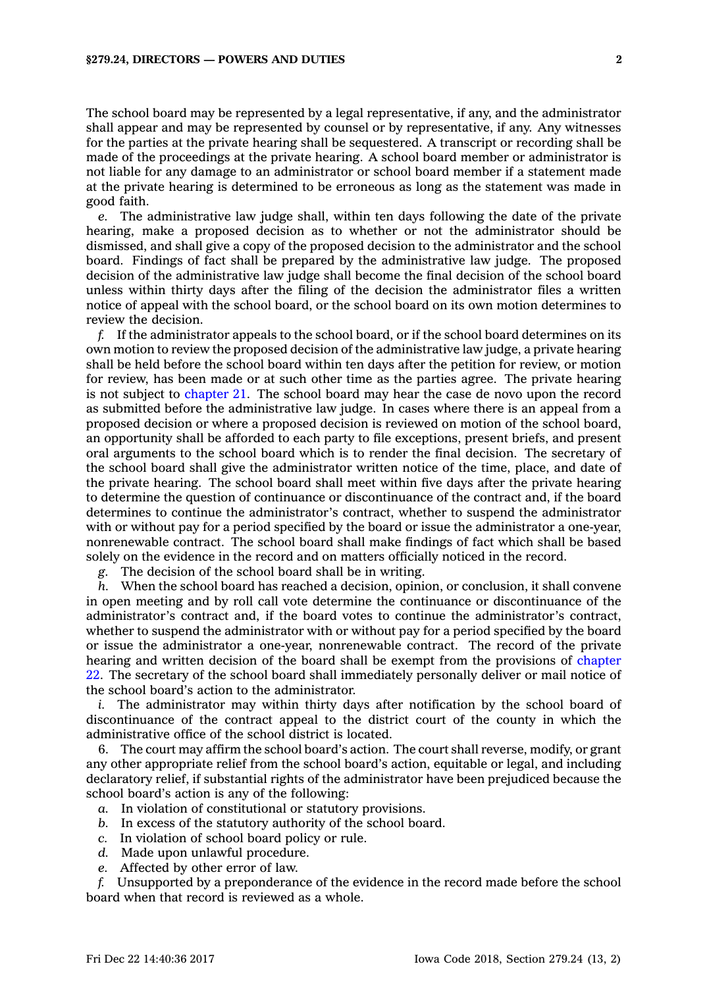The school board may be represented by <sup>a</sup> legal representative, if any, and the administrator shall appear and may be represented by counsel or by representative, if any. Any witnesses for the parties at the private hearing shall be sequestered. A transcript or recording shall be made of the proceedings at the private hearing. A school board member or administrator is not liable for any damage to an administrator or school board member if <sup>a</sup> statement made at the private hearing is determined to be erroneous as long as the statement was made in good faith.

*e.* The administrative law judge shall, within ten days following the date of the private hearing, make <sup>a</sup> proposed decision as to whether or not the administrator should be dismissed, and shall give <sup>a</sup> copy of the proposed decision to the administrator and the school board. Findings of fact shall be prepared by the administrative law judge. The proposed decision of the administrative law judge shall become the final decision of the school board unless within thirty days after the filing of the decision the administrator files <sup>a</sup> written notice of appeal with the school board, or the school board on its own motion determines to review the decision.

*f.* If the administrator appeals to the school board, or if the school board determines on its own motion to review the proposed decision of the administrative law judge, <sup>a</sup> private hearing shall be held before the school board within ten days after the petition for review, or motion for review, has been made or at such other time as the parties agree. The private hearing is not subject to [chapter](https://www.legis.iowa.gov/docs/code//21.pdf) 21. The school board may hear the case de novo upon the record as submitted before the administrative law judge. In cases where there is an appeal from <sup>a</sup> proposed decision or where <sup>a</sup> proposed decision is reviewed on motion of the school board, an opportunity shall be afforded to each party to file exceptions, present briefs, and present oral arguments to the school board which is to render the final decision. The secretary of the school board shall give the administrator written notice of the time, place, and date of the private hearing. The school board shall meet within five days after the private hearing to determine the question of continuance or discontinuance of the contract and, if the board determines to continue the administrator's contract, whether to suspend the administrator with or without pay for <sup>a</sup> period specified by the board or issue the administrator <sup>a</sup> one-year, nonrenewable contract. The school board shall make findings of fact which shall be based solely on the evidence in the record and on matters officially noticed in the record.

*g.* The decision of the school board shall be in writing.

*h.* When the school board has reached <sup>a</sup> decision, opinion, or conclusion, it shall convene in open meeting and by roll call vote determine the continuance or discontinuance of the administrator's contract and, if the board votes to continue the administrator's contract, whether to suspend the administrator with or without pay for <sup>a</sup> period specified by the board or issue the administrator <sup>a</sup> one-year, nonrenewable contract. The record of the private hearing and written decision of the board shall be exempt from the provisions of [chapter](https://www.legis.iowa.gov/docs/code//22.pdf) [22](https://www.legis.iowa.gov/docs/code//22.pdf). The secretary of the school board shall immediately personally deliver or mail notice of the school board's action to the administrator.

*i.* The administrator may within thirty days after notification by the school board of discontinuance of the contract appeal to the district court of the county in which the administrative office of the school district is located.

6. The court may affirm the school board's action. The court shall reverse, modify, or grant any other appropriate relief from the school board's action, equitable or legal, and including declaratory relief, if substantial rights of the administrator have been prejudiced because the school board's action is any of the following:

- *a.* In violation of constitutional or statutory provisions.
- *b.* In excess of the statutory authority of the school board.
- *c.* In violation of school board policy or rule.
- *d.* Made upon unlawful procedure.
- *e.* Affected by other error of law.

*f.* Unsupported by <sup>a</sup> preponderance of the evidence in the record made before the school board when that record is reviewed as <sup>a</sup> whole.